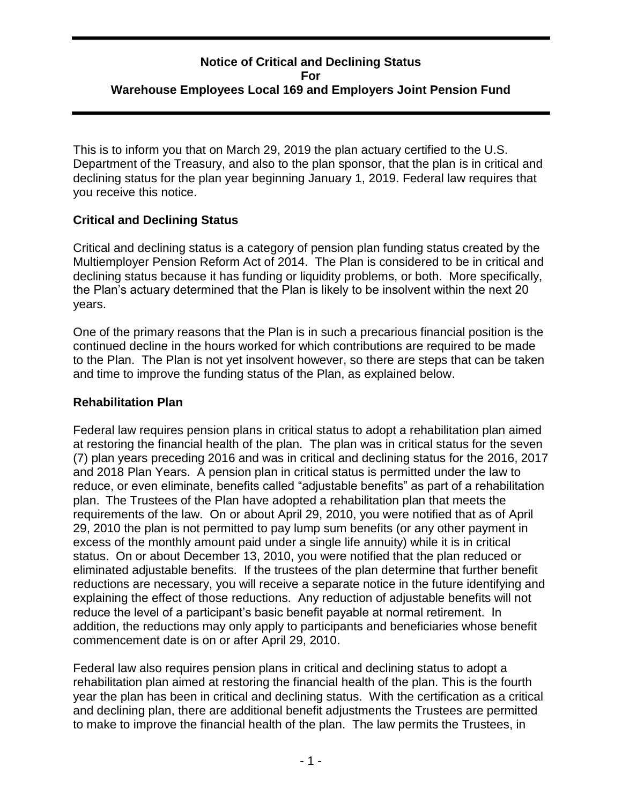### **Notice of Critical and Declining Status For Warehouse Employees Local 169 and Employers Joint Pension Fund**

This is to inform you that on March 29, 2019 the plan actuary certified to the U.S. Department of the Treasury, and also to the plan sponsor, that the plan is in critical and declining status for the plan year beginning January 1, 2019. Federal law requires that you receive this notice.

#### **Critical and Declining Status**

Critical and declining status is a category of pension plan funding status created by the Multiemployer Pension Reform Act of 2014. The Plan is considered to be in critical and declining status because it has funding or liquidity problems, or both. More specifically, the Plan's actuary determined that the Plan is likely to be insolvent within the next 20 years.

One of the primary reasons that the Plan is in such a precarious financial position is the continued decline in the hours worked for which contributions are required to be made to the Plan. The Plan is not yet insolvent however, so there are steps that can be taken and time to improve the funding status of the Plan, as explained below.

#### **Rehabilitation Plan**

Federal law requires pension plans in critical status to adopt a rehabilitation plan aimed at restoring the financial health of the plan. The plan was in critical status for the seven (7) plan years preceding 2016 and was in critical and declining status for the 2016, 2017 and 2018 Plan Years. A pension plan in critical status is permitted under the law to reduce, or even eliminate, benefits called "adjustable benefits" as part of a rehabilitation plan. The Trustees of the Plan have adopted a rehabilitation plan that meets the requirements of the law. On or about April 29, 2010, you were notified that as of April 29, 2010 the plan is not permitted to pay lump sum benefits (or any other payment in excess of the monthly amount paid under a single life annuity) while it is in critical status. On or about December 13, 2010, you were notified that the plan reduced or eliminated adjustable benefits. If the trustees of the plan determine that further benefit reductions are necessary, you will receive a separate notice in the future identifying and explaining the effect of those reductions. Any reduction of adjustable benefits will not reduce the level of a participant's basic benefit payable at normal retirement. In addition, the reductions may only apply to participants and beneficiaries whose benefit commencement date is on or after April 29, 2010.

Federal law also requires pension plans in critical and declining status to adopt a rehabilitation plan aimed at restoring the financial health of the plan. This is the fourth year the plan has been in critical and declining status. With the certification as a critical and declining plan, there are additional benefit adjustments the Trustees are permitted to make to improve the financial health of the plan. The law permits the Trustees, in